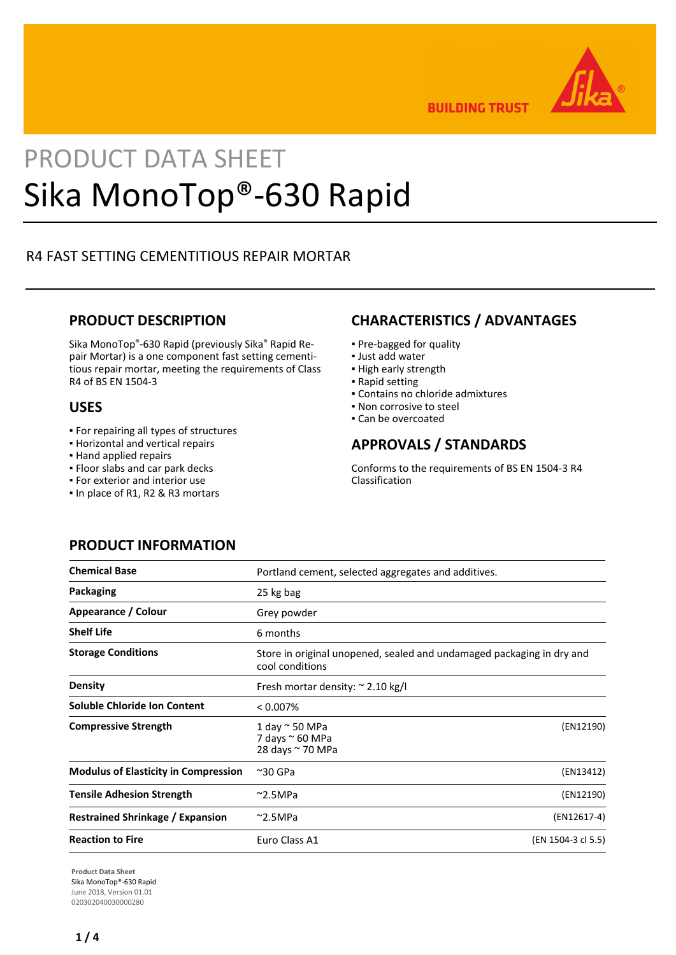

**BUILDING TRUST** 

# PRODUCT DATA SHEET Sika MonoTop®-630 Rapid

# R4 FAST SETTING CEMENTITIOUS REPAIR MORTAR

## **PRODUCT DESCRIPTION**

Sika MonoTop®-630 Rapid (previously Sika® Rapid Repair Mortar) is a one component fast setting cementitious repair mortar, meeting the requirements of Class R4 of BS EN 1504-3

## **USES**

- For repairing all types of structures
- Horizontal and vertical repairs
- Hand applied repairs
- Floor slabs and car park decks
- For exterior and interior use
- In place of R1, R2 & R3 mortars

# **CHARACTERISTICS / ADVANTAGES**

- Pre-bagged for quality
- Just add water
- High early strength
- Rapid setting
- Contains no chloride admixtures
- Non corrosive to steel
- Can be overcoated

# **APPROVALS / STANDARDS**

Conforms to the requirements of BS EN 1504-3 R4 Classification

# **PRODUCT INFORMATION**

| <b>Chemical Base</b>                        | Portland cement, selected aggregates and additives.                                      |                    |
|---------------------------------------------|------------------------------------------------------------------------------------------|--------------------|
| Packaging                                   | 25 kg bag                                                                                |                    |
| Appearance / Colour                         | Grey powder                                                                              |                    |
| <b>Shelf Life</b>                           | 6 months                                                                                 |                    |
| <b>Storage Conditions</b>                   | Store in original unopened, sealed and undamaged packaging in dry and<br>cool conditions |                    |
| <b>Density</b>                              | Fresh mortar density: $\approx$ 2.10 kg/l                                                |                    |
| Soluble Chloride Ion Content                | $< 0.007\%$                                                                              |                    |
| <b>Compressive Strength</b>                 | 1 day $\sim$ 50 MPa<br>7 days ~ 60 MPa<br>28 days ~ 70 MPa                               | (EN12190)          |
| <b>Modulus of Elasticity in Compression</b> | $~\sim$ 30 GPa                                                                           | (EN13412)          |
| <b>Tensile Adhesion Strength</b>            | $~^{\sim}$ 2.5MPa                                                                        | (EN12190)          |
| <b>Restrained Shrinkage / Expansion</b>     | $~^{\sim}$ 2.5MPa                                                                        | (EN12617-4)        |
| <b>Reaction to Fire</b>                     | Euro Class A1                                                                            | (EN 1504-3 cl 5.5) |

**Product Data Sheet** Sika MonoTop®-630 Rapid June 2018, Version 01.01 020302040030000280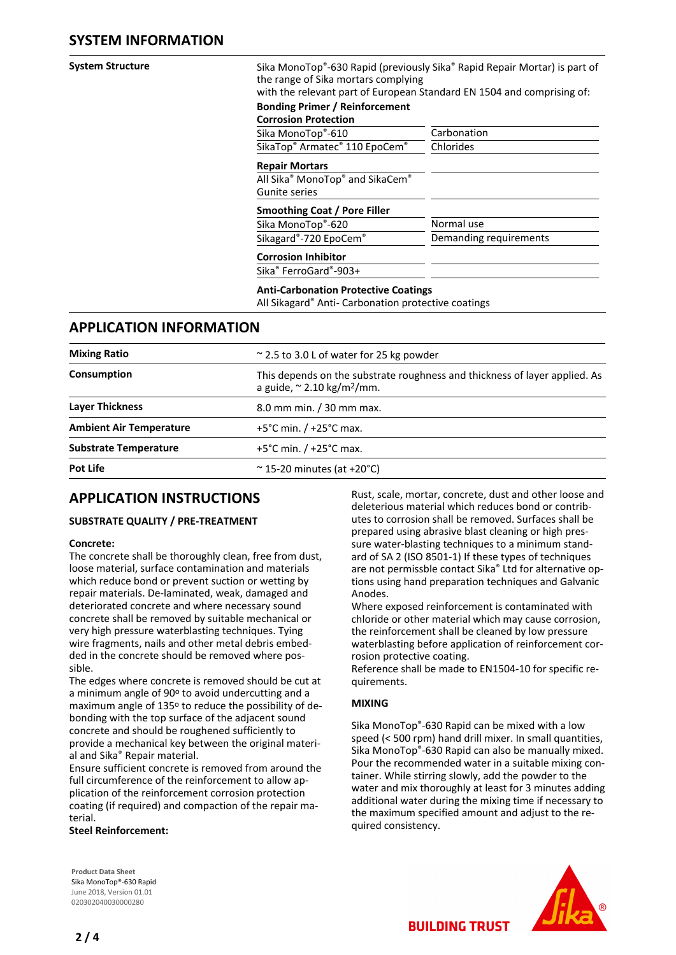| <b>System Structure</b>        |                                                                      | Sika MonoTop®-630 Rapid (previously Sika® Rapid Repair Mortar) is part of<br>the range of Sika mortars complying<br>with the relevant part of European Standard EN 1504 and comprising of: |  |  |
|--------------------------------|----------------------------------------------------------------------|--------------------------------------------------------------------------------------------------------------------------------------------------------------------------------------------|--|--|
|                                | <b>Bonding Primer / Reinforcement</b><br><b>Corrosion Protection</b> |                                                                                                                                                                                            |  |  |
|                                | Sika MonoTop®-610                                                    | Carbonation                                                                                                                                                                                |  |  |
|                                | SikaTop® Armatec® 110 EpoCem®                                        | Chlorides                                                                                                                                                                                  |  |  |
|                                | <b>Repair Mortars</b>                                                |                                                                                                                                                                                            |  |  |
|                                | All Sika <sup>®</sup> MonoTop <sup>®</sup> and SikaCem <sup>®</sup>  |                                                                                                                                                                                            |  |  |
|                                | <b>Gunite series</b>                                                 |                                                                                                                                                                                            |  |  |
|                                | Smoothing Coat / Pore Filler                                         |                                                                                                                                                                                            |  |  |
|                                | Sika MonoTop®-620                                                    | Normal use                                                                                                                                                                                 |  |  |
|                                | Sikagard®-720 EpoCem®                                                | Demanding requirements                                                                                                                                                                     |  |  |
|                                | <b>Corrosion Inhibitor</b>                                           |                                                                                                                                                                                            |  |  |
|                                | Sika® FerroGard®-903+                                                |                                                                                                                                                                                            |  |  |
|                                |                                                                      | <b>Anti-Carbonation Protective Coatings</b><br>All Sikagard® Anti- Carbonation protective coatings                                                                                         |  |  |
| <b>APPLICATION INFORMATION</b> |                                                                      |                                                                                                                                                                                            |  |  |

| <b>Mixing Ratio</b>            | $\approx$ 2.5 to 3.0 L of water for 25 kg powder                                                                             |  |
|--------------------------------|------------------------------------------------------------------------------------------------------------------------------|--|
| Consumption                    | This depends on the substrate roughness and thickness of layer applied. As<br>a guide, $\approx$ 2.10 kg/m <sup>2</sup> /mm. |  |
| <b>Layer Thickness</b>         | 8.0 mm min. / 30 mm max.                                                                                                     |  |
| <b>Ambient Air Temperature</b> | $+5^{\circ}$ C min. / $+25^{\circ}$ C max.                                                                                   |  |
| <b>Substrate Temperature</b>   | $+5^{\circ}$ C min. / $+25^{\circ}$ C max.                                                                                   |  |
| Pot Life                       | $\approx$ 15-20 minutes (at +20°C)                                                                                           |  |
|                                |                                                                                                                              |  |

# **APPLICATION INSTRUCTIONS**

## **SUBSTRATE QUALITY / PRE-TREATMENT**

## **Concrete:**

The concrete shall be thoroughly clean, free from dust, loose material, surface contamination and materials which reduce bond or prevent suction or wetting by repair materials. De-laminated, weak, damaged and deteriorated concrete and where necessary sound concrete shall be removed by suitable mechanical or very high pressure waterblasting techniques. Tying wire fragments, nails and other metal debris embedded in the concrete should be removed where possible.

The edges where concrete is removed should be cut at a minimum angle of 90° to avoid undercutting and a maximum angle of 135° to reduce the possibility of debonding with the top surface of the adjacent sound concrete and should be roughened sufficiently to provide a mechanical key between the original material and Sika® Repair material.

Ensure sufficient concrete is removed from around the full circumference of the reinforcement to allow application of the reinforcement corrosion protection coating (if required) and compaction of the repair material.

**Steel Reinforcement:**

**Product Data Sheet** Sika MonoTop®-630 Rapid June 2018, Version 01.01

Rust, scale, mortar, concrete, dust and other loose and deleterious material which reduces bond or contributes to corrosion shall be removed. Surfaces shall be prepared using abrasive blast cleaning or high pressure water-blasting techniques to a minimum standard of SA 2 (ISO 8501-1) If these types of techniques are not permissble contact Sika® Ltd for alternative options using hand preparation techniques and Galvanic Anodes.

Where exposed reinforcement is contaminated with chloride or other material which may cause corrosion, the reinforcement shall be cleaned by low pressure waterblasting before application of reinforcement corrosion protective coating.

Reference shall be made to EN1504-10 for specific requirements.

## **MIXING**

Sika MonoTop®-630 Rapid can be mixed with a low speed (< 500 rpm) hand drill mixer. In small quantities, Sika MonoTop®-630 Rapid can also be manually mixed. Pour the recommended water in a suitable mixing container. While stirring slowly, add the powder to the water and mix thoroughly at least for 3 minutes adding additional water during the mixing time if necessary to the maximum specified amount and adjust to the required consistency.

**BUILDING TRUST** 



020302040030000280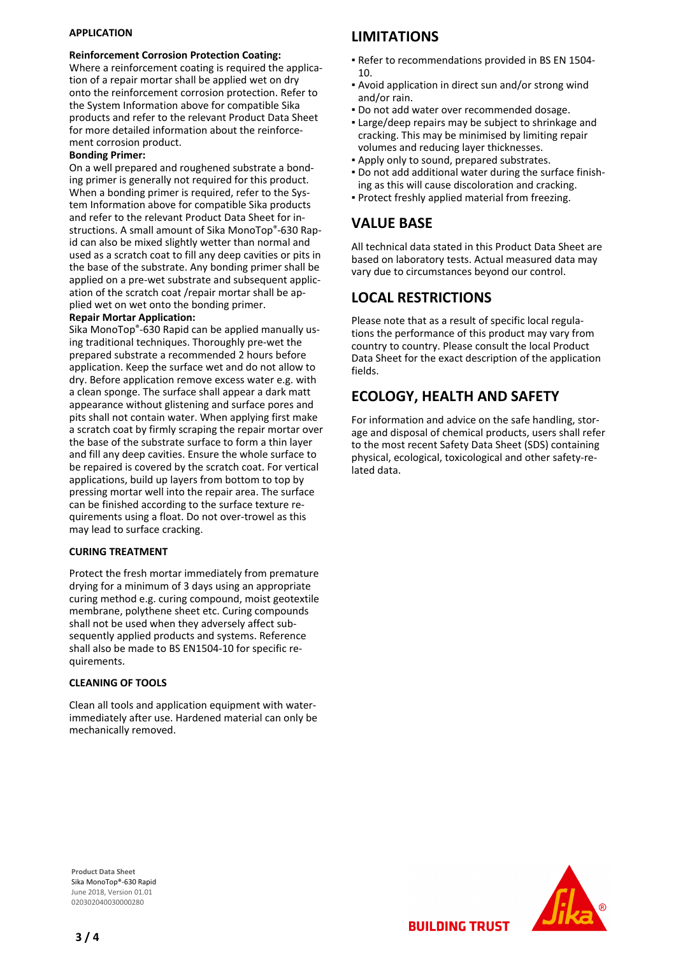## **APPLICATION**

#### **Reinforcement Corrosion Protection Coating:**

Where a reinforcement coating is required the application of a repair mortar shall be applied wet on dry onto the reinforcement corrosion protection. Refer to the System Information above for compatible Sika products and refer to the relevant Product Data Sheet for more detailed information about the reinforcement corrosion product.

#### **Bonding Primer:**

On a well prepared and roughened substrate a bonding primer is generally not required for this product. When a bonding primer is required, refer to the System Information above for compatible Sika products and refer to the relevant Product Data Sheet for instructions. A small amount of Sika MonoTop®-630 Rapid can also be mixed slightly wetter than normal and used as a scratch coat to fill any deep cavities or pits in the base of the substrate. Any bonding primer shall be applied on a pre-wet substrate and subsequent application of the scratch coat /repair mortar shall be applied wet on wet onto the bonding primer.

## **Repair Mortar Application:**

Sika MonoTop®-630 Rapid can be applied manually using traditional techniques. Thoroughly pre-wet the prepared substrate a recommended 2 hours before application. Keep the surface wet and do not allow to dry. Before application remove excess water e.g. with a clean sponge. The surface shall appear a dark matt appearance without glistening and surface pores and pits shall not contain water. When applying first make a scratch coat by firmly scraping the repair mortar over the base of the substrate surface to form a thin layer and fill any deep cavities. Ensure the whole surface to be repaired is covered by the scratch coat. For vertical applications, build up layers from bottom to top by pressing mortar well into the repair area. The surface can be finished according to the surface texture requirements using a float. Do not over-trowel as this may lead to surface cracking.

### **CURING TREATMENT**

Protect the fresh mortar immediately from premature drying for a minimum of 3 days using an appropriate curing method e.g. curing compound, moist geotextile membrane, polythene sheet etc. Curing compounds shall not be used when they adversely affect subsequently applied products and systems. Reference shall also be made to BS EN1504-10 for specific requirements.

#### **CLEANING OF TOOLS**

Clean all tools and application equipment with waterimmediately after use. Hardened material can only be mechanically removed.

## **LIMITATIONS**

- Refer to recommendations provided in BS EN 1504- 10.
- Avoid application in direct sun and/or strong wind and/or rain.
- Do not add water over recommended dosage.
- Large/deep repairs may be subject to shrinkage and cracking. This may be minimised by limiting repair volumes and reducing layer thicknesses.
- Apply only to sound, prepared substrates.
- Do not add additional water during the surface finish-▪ ing as this will cause discoloration and cracking.
- Protect freshly applied material from freezing.

## **VALUE BASE**

All technical data stated in this Product Data Sheet are based on laboratory tests. Actual measured data may vary due to circumstances beyond our control.

## **LOCAL RESTRICTIONS**

Please note that as a result of specific local regulations the performance of this product may vary from country to country. Please consult the local Product Data Sheet for the exact description of the application fields.

# **ECOLOGY, HEALTH AND SAFETY**

**BUILDING TRUST** 

For information and advice on the safe handling, storage and disposal of chemical products, users shall refer to the most recent Safety Data Sheet (SDS) containing physical, ecological, toxicological and other safety-related data.

**Product Data Sheet** Sika MonoTop®-630 Rapid June 2018, Version 01.01 020302040030000280